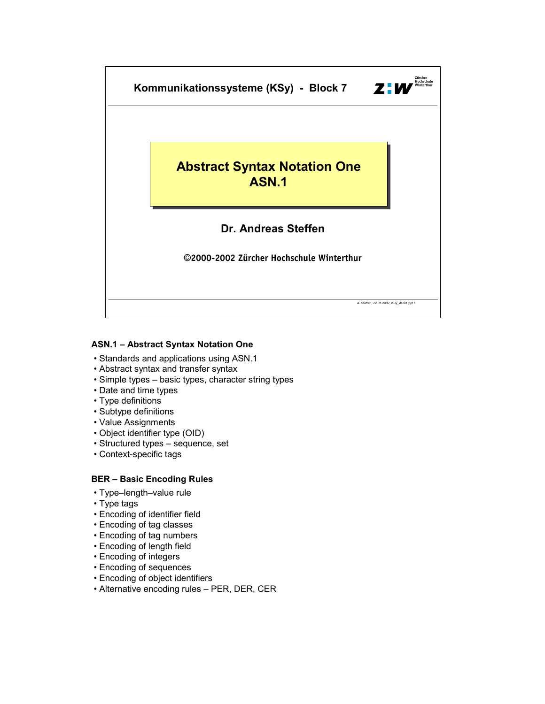

## **ASN.1 – Abstract Syntax Notation One**

- Standards and applications using ASN.1
- Abstract syntax and transfer syntax
- Simple types basic types, character string types
- Date and time types
- Type definitions
- Subtype definitions
- Value Assignments
- Object identifier type (OID)
- Structured types sequence, set
- Context-specific tags

## **BER – Basic Encoding Rules**

- Type–length–value rule
- Type tags
- Encoding of identifier field
- Encoding of tag classes
- Encoding of tag numbers
- Encoding of length field
- Encoding of integers
- Encoding of sequences
- Encoding of object identifiers
- Alternative encoding rules PER, DER, CER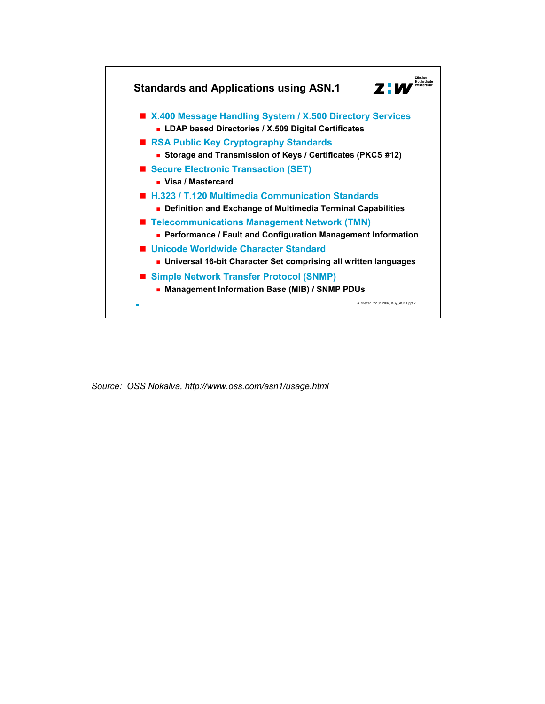

*Source: OSS Nokalva, http://www.oss.com/asn1/usage.html*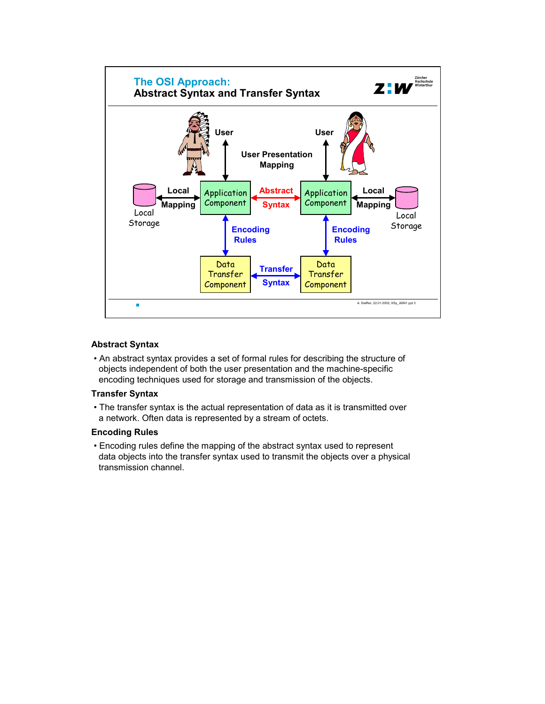

#### **Abstract Syntax**

• An abstract syntax provides a set of formal rules for describing the structure of objects independent of both the user presentation and the machine-specific encoding techniques used for storage and transmission of the objects.

#### **Transfer Syntax**

• The transfer syntax is the actual representation of data as it is transmitted over a network. Often data is represented by a stream of octets.

#### **Encoding Rules**

• Encoding rules define the mapping of the abstract syntax used to represent data objects into the transfer syntax used to transmit the objects over a physical transmission channel.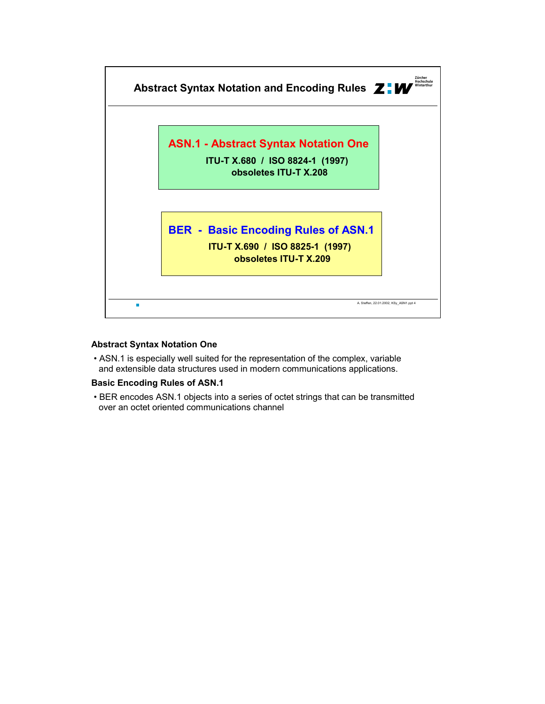

#### **Abstract Syntax Notation One**

• ASN.1 is especially well suited for the representation of the complex, variable and extensible data structures used in modern communications applications.

#### **Basic Encoding Rules of ASN.1**

• BER encodes ASN.1 objects into a series of octet strings that can be transmitted over an octet oriented communications channel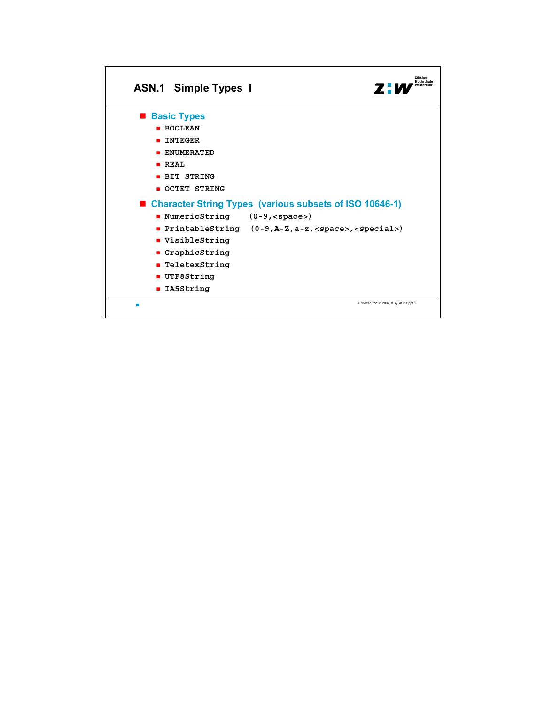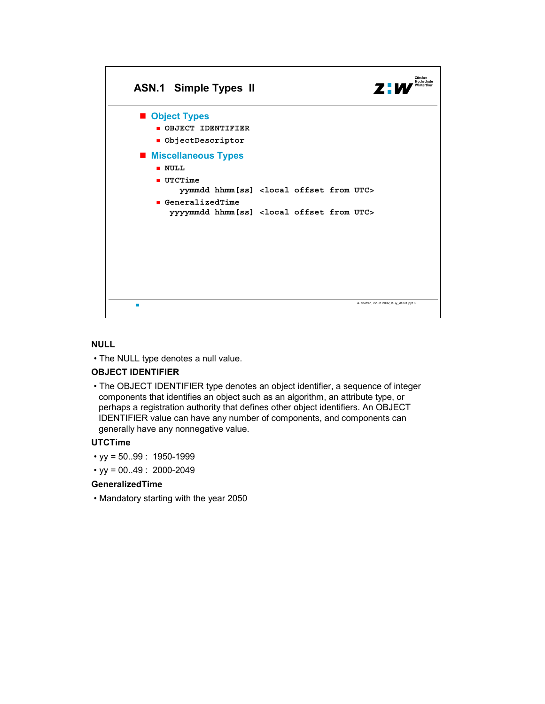

#### **NULL**

• The NULL type denotes a null value.

## **OBJECT IDENTIFIER**

• The OBJECT IDENTIFIER type denotes an object identifier, a sequence of integer components that identifies an object such as an algorithm, an attribute type, or perhaps a registration authority that defines other object identifiers. An OBJECT IDENTIFIER value can have any number of components, and components can generally have any nonnegative value.

## **UTCTime**

- $\cdot$  yy = 50..99 : 1950-1999
- $\cdot$  yy = 00..49 : 2000-2049

## **GeneralizedTime**

• Mandatory starting with the year 2050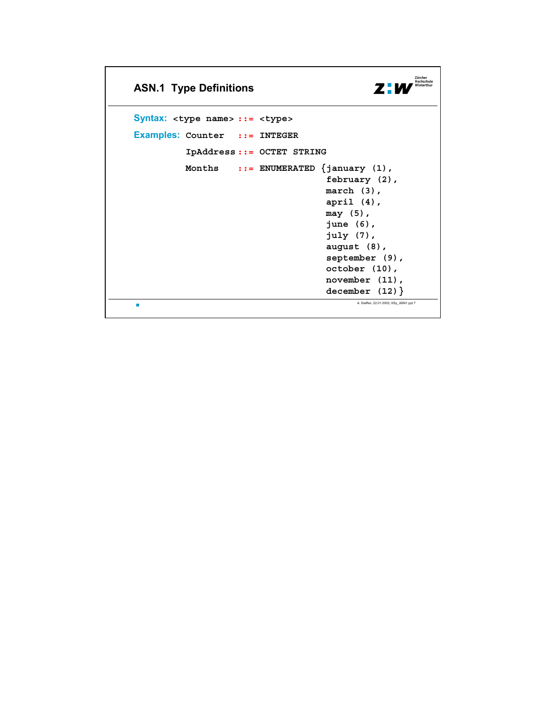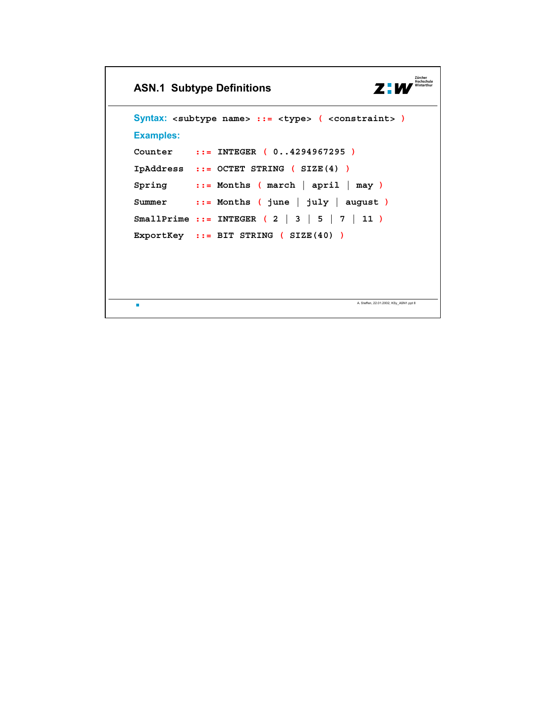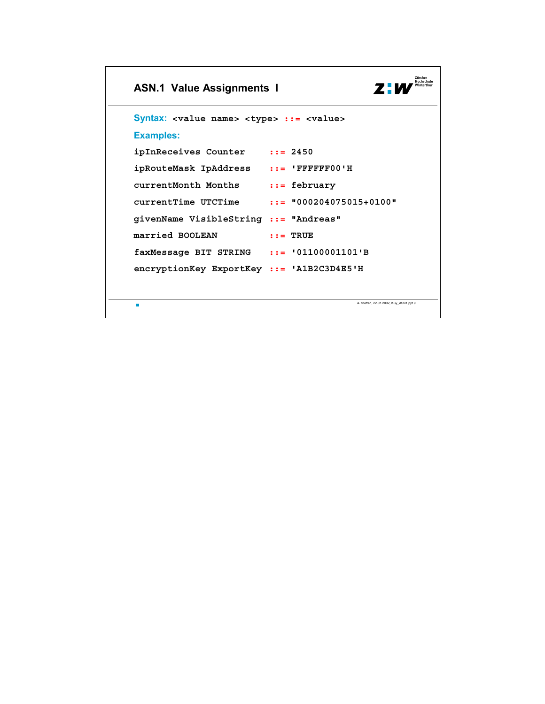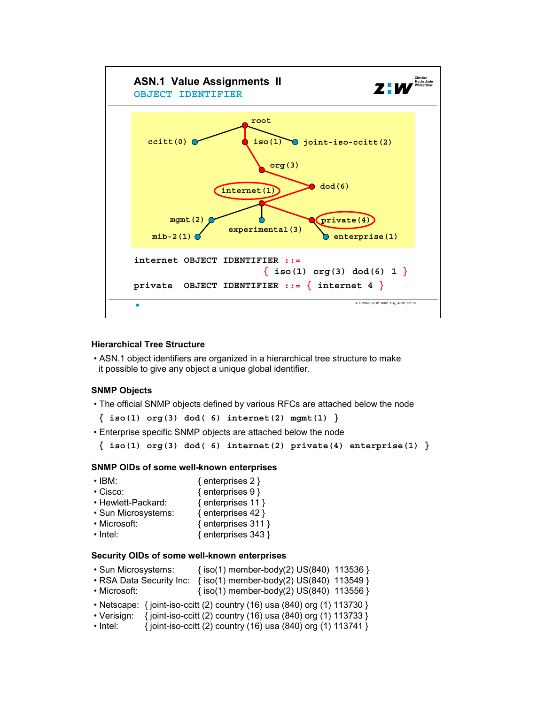

#### **Hierarchical Tree Structure**

• ASN.1 object identifiers are organized in a hierarchical tree structure to make it possible to give any object a unique global identifier.

## **SNMP Objects**

• The official SNMP objects defined by various RFCs are attached below the node

```
{ iso(1) org(3) dod( 6) internet(2) mgmt(1) }
```
• Enterprise specific SNMP objects are attached below the node

```
{ iso(1) org(3) dod( 6) internet(2) private(4) enterprise(1) }
```
#### **SNMP OIDs of some well-known enterprises**

- IBM: { enterprises 2 }
- Cisco: { enterprises 9 }
- Hewlett-Packard: { enterprises 11 }
- Sun Microsystems: { enterprises 42 }
- Microsoft: { enterprises 311 }
- Intel: { enterprises 343 }

## **Security OIDs of some well-known enterprises**

- Sun Microsystems: { iso(1) member-body(2) US(840) 113536 }
- RSA Data Security Inc: { iso(1) member-body(2) US(840) 113549 }
- Microsoft: { iso(1) member-body(2) US(840) 113556 }
- Netscape:  $\{$  joint-iso-ccitt (2) country (16) usa (840) org (1) 113730  $\}$
- Verisign: { joint-iso-ccitt (2) country (16) usa (840) org (1) 113733 }
- Intel: { joint-iso-ccitt (2) country (16) usa (840) org (1) 113741 }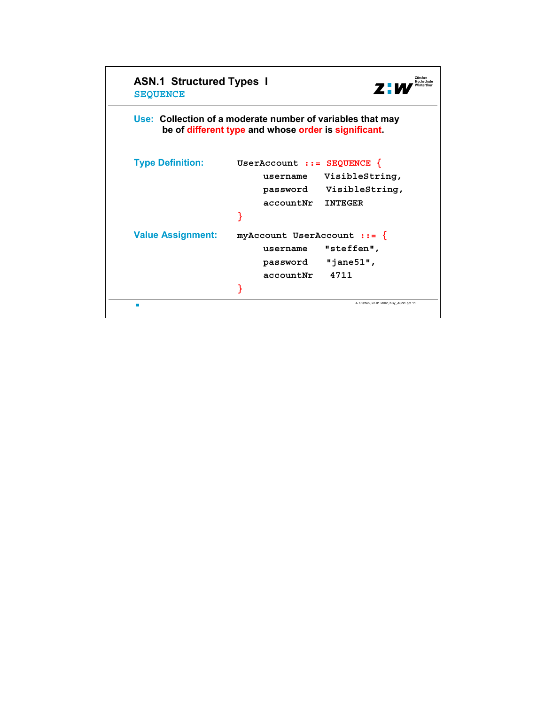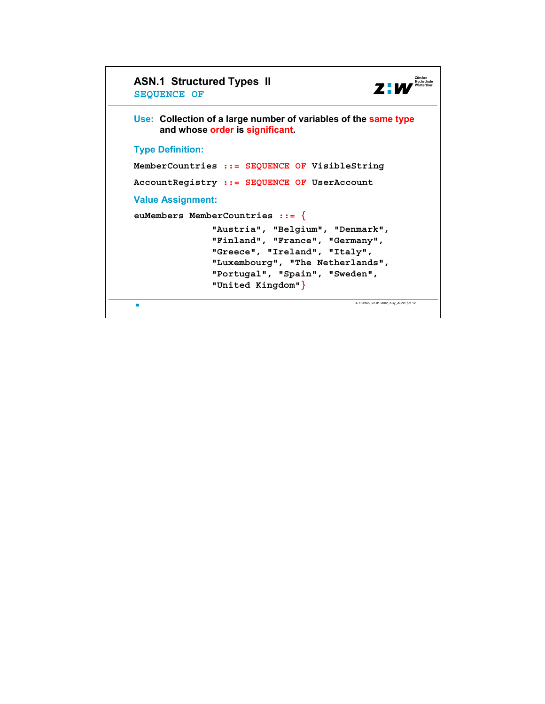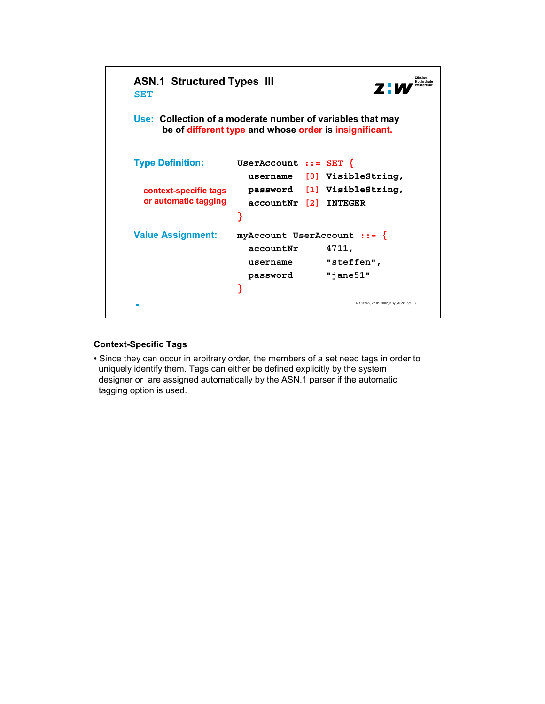

## **Context-Specific Tags**

• Since they can occur in arbitrary order, the members of a set need tags in order to uniquely identify them. Tags can either be defined explicitly by the system designer or are assigned automatically by the ASN.1 parser if the automatic tagging option is used.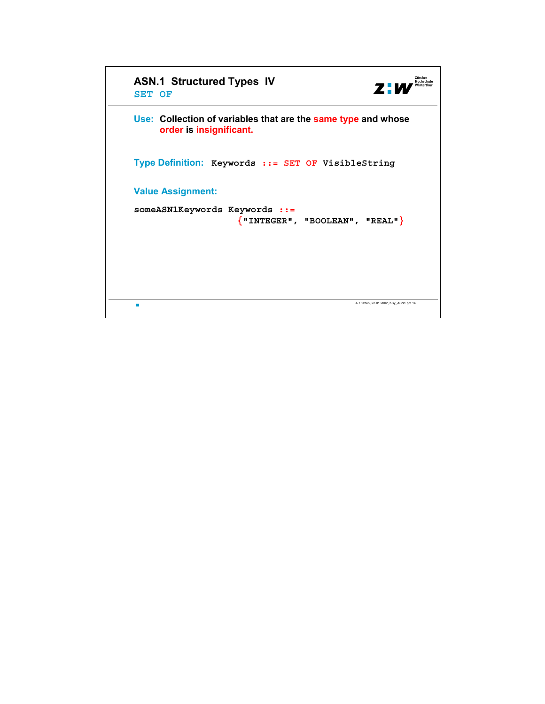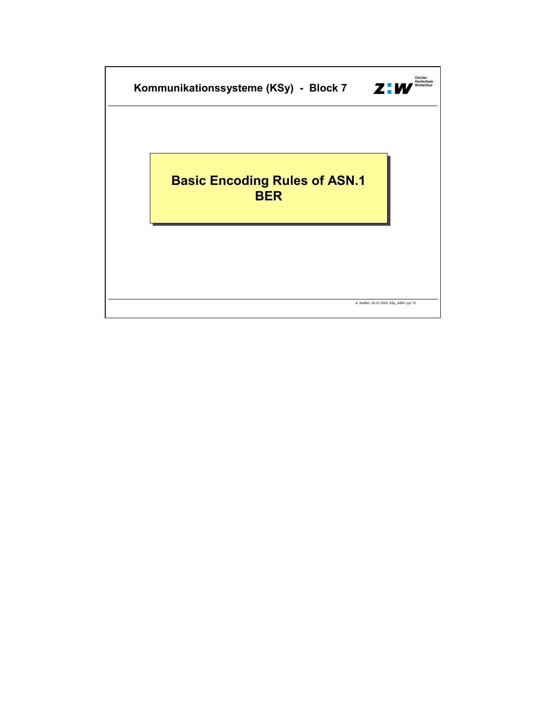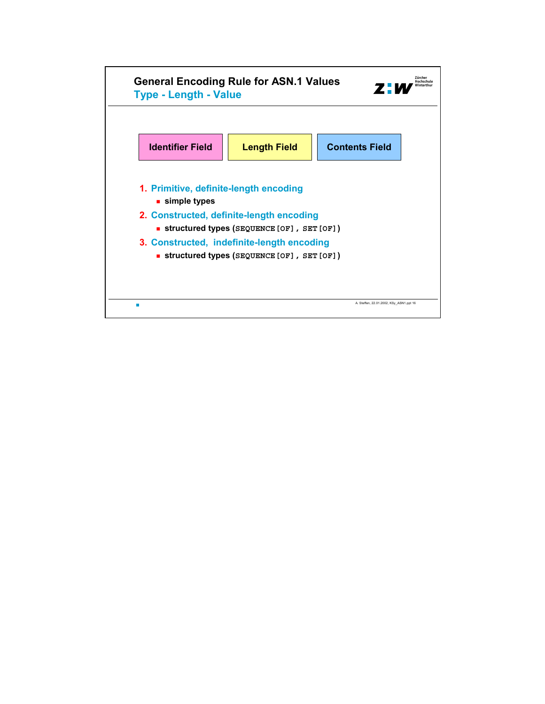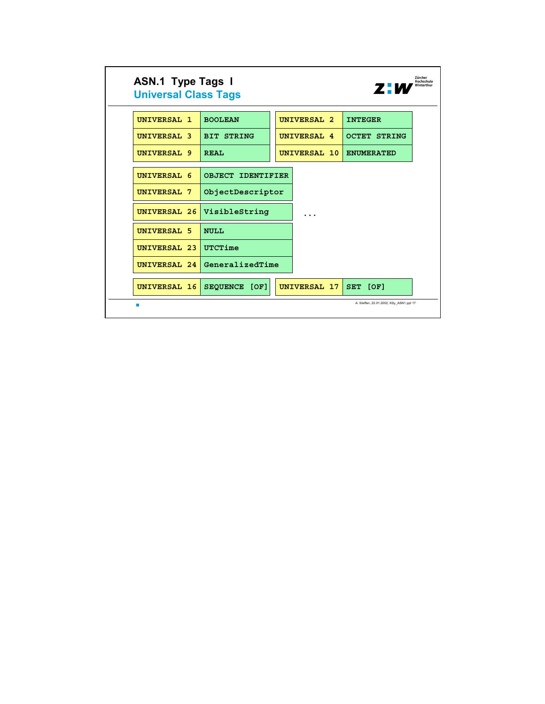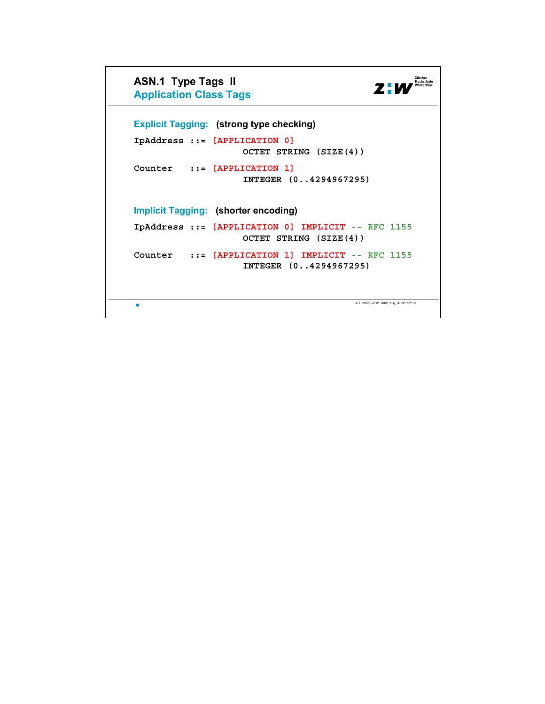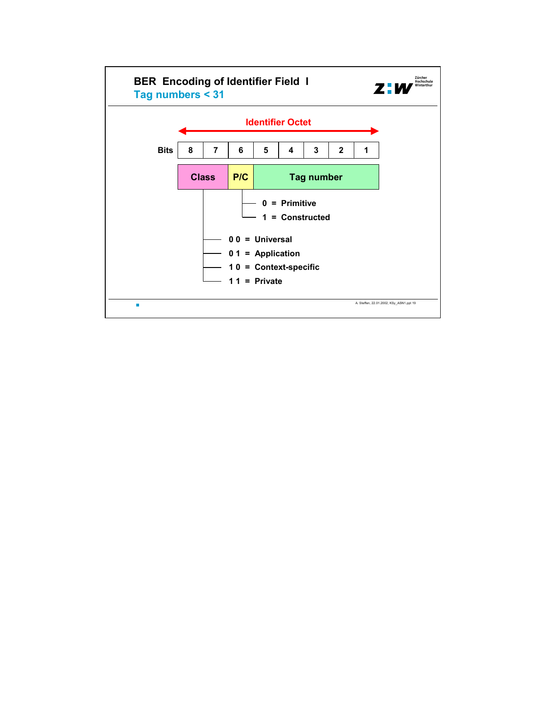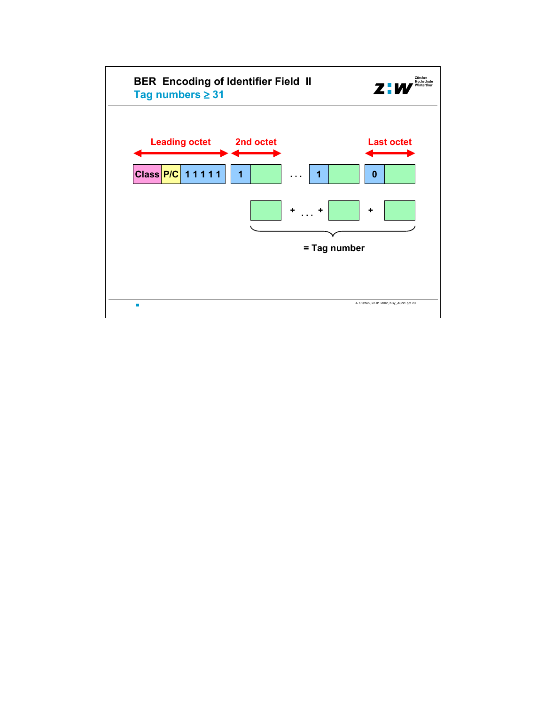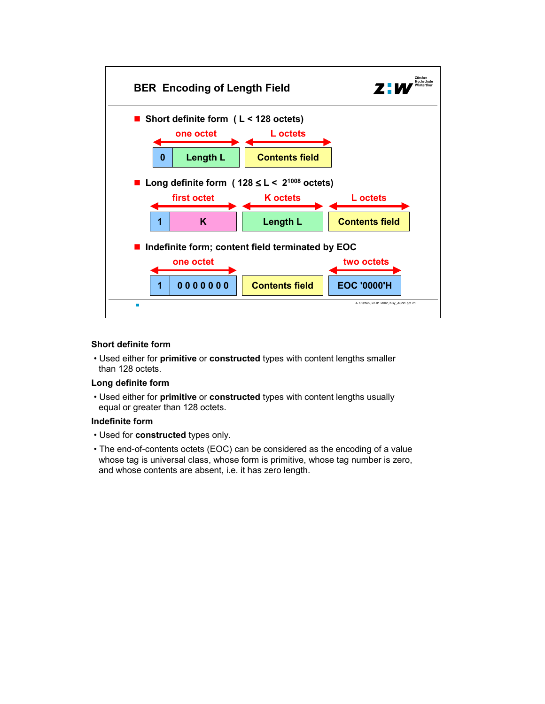

#### **Short definite form**

• Used either for **primitive** or **constructed** types with content lengths smaller than 128 octets.

#### **Long definite form**

• Used either for **primitive** or **constructed** types with content lengths usually equal or greater than 128 octets.

## **Indefinite form**

- Used for **constructed** types only.
- The end-of-contents octets (EOC) can be considered as the encoding of a value whose tag is universal class, whose form is primitive, whose tag number is zero, and whose contents are absent, i.e. it has zero length.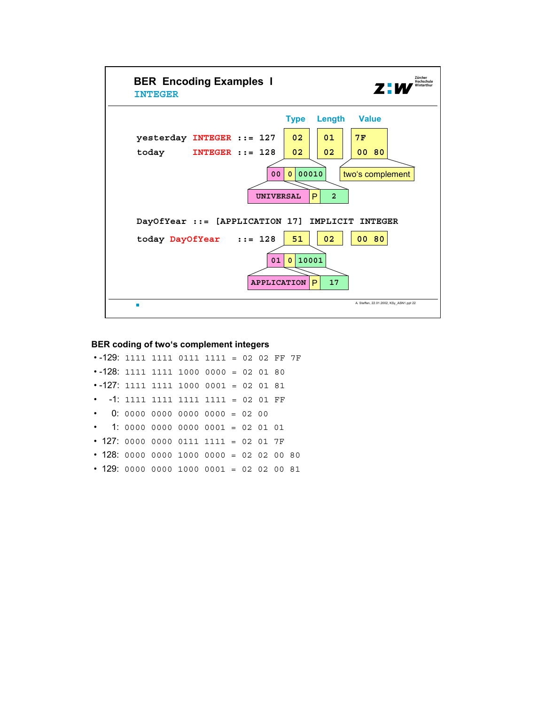

## **BER coding of two's complement integers**

|  | $\cdot$ -129: 1111 1111 0111 1111 = 02 02 FF 7F |  |  |  |  |
|--|-------------------------------------------------|--|--|--|--|
|  | $\cdot$ -128: 1111 1111 1000 0000 = 02 01 80    |  |  |  |  |
|  | $\cdot$ -127: 1111 1111 1000 0001 = 02 01 81    |  |  |  |  |
|  | $\cdot$ -1: 1111 1111 1111 1111 = 02 01 FF      |  |  |  |  |
|  | $\bullet$ 0: 0000 0000 0000 0000 = 02 00        |  |  |  |  |
|  | $\bullet$ 1: 0000 0000 0000 0001 = 02 01 01     |  |  |  |  |
|  | $\cdot$ 127: 0000 0000 0111 1111 = 02 01 7F     |  |  |  |  |
|  | $\cdot$ 128: 0000 0000 1000 0000 = 02 02 00 80  |  |  |  |  |
|  | $\cdot$ 129: 0000 0000 1000 0001 = 02 02 00 81  |  |  |  |  |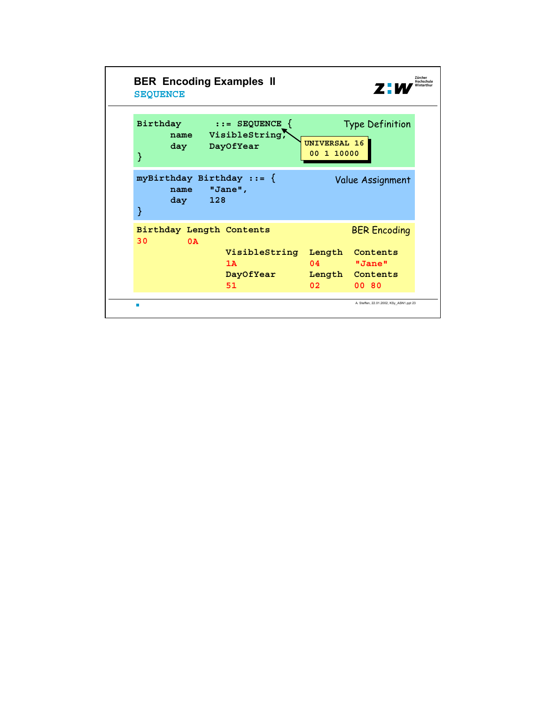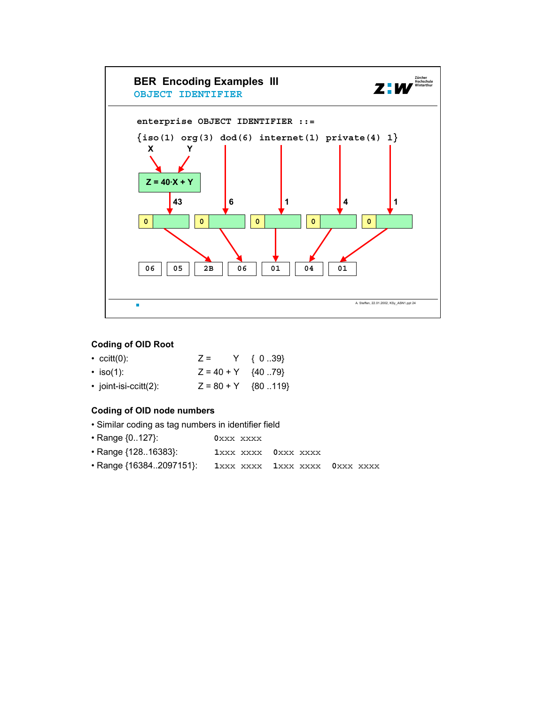

# **Coding of OID Root**

| $\cdot$ ccitt(0):     | $Z =$                | Y { 039} |
|-----------------------|----------------------|----------|
| • $iso(1)$ :          | $Z = 40 + Y$ {4079}  |          |
| • joint-isi-ccitt(2): | $Z = 80 + Y$ {80119} |          |

## **Coding of OID node numbers**

- Similar coding as tag numbers in identifier field
- Range {0..127}: **0**xxx xxxx
- Range {128..16383}: **1**xxx xxxx **0**xxx xxxx
- Range {16384..2097151}: **1**xxx xxxx **1**xxx xxxx **0**xxx xxxx